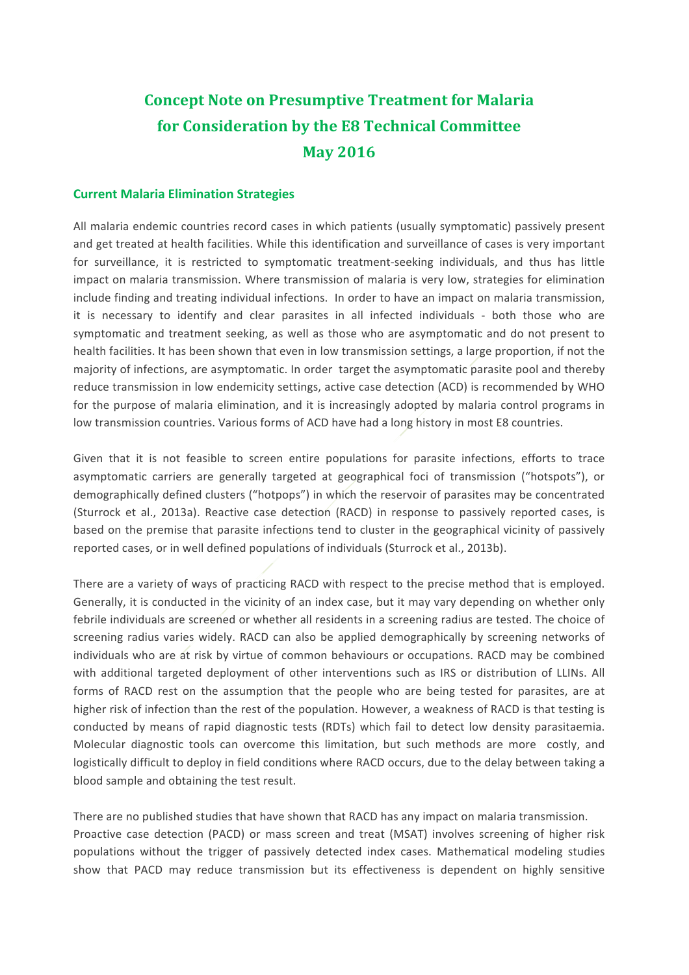# **Concept Note on Presumptive Treatment for Malaria for Consideration by the E8 Technical Committee May 2016**

#### **Current Malaria Elimination Strategies**

All malaria endemic countries record cases in which patients (usually symptomatic) passively present and get treated at health facilities. While this identification and surveillance of cases is very important for surveillance, it is restricted to symptomatic treatment-seeking individuals, and thus has little impact on malaria transmission. Where transmission of malaria is very low, strategies for elimination include finding and treating individual infections. In order to have an impact on malaria transmission, it is necessary to identify and clear parasites in all infected individuals - both those who are symptomatic and treatment seeking, as well as those who are asymptomatic and do not present to health facilities. It has been shown that even in low transmission settings, a large proportion, if not the majority of infections, are asymptomatic. In order target the asymptomatic parasite pool and thereby reduce transmission in low endemicity settings, active case detection (ACD) is recommended by WHO for the purpose of malaria elimination, and it is increasingly adopted by malaria control programs in low transmission countries. Various forms of ACD have had a long history in most E8 countries.

Given that it is not feasible to screen entire populations for parasite infections, efforts to trace asymptomatic carriers are generally targeted at geographical foci of transmission ("hotspots"), or demographically defined clusters ("hotpops") in which the reservoir of parasites may be concentrated (Sturrock et al., 2013a). Reactive case detection (RACD) in response to passively reported cases, is based on the premise that parasite infections tend to cluster in the geographical vicinity of passively reported cases, or in well defined populations of individuals (Sturrock et al., 2013b).

There are a variety of ways of practicing RACD with respect to the precise method that is employed. Generally, it is conducted in the vicinity of an index case, but it may vary depending on whether only febrile individuals are screened or whether all residents in a screening radius are tested. The choice of screening radius varies widely. RACD can also be applied demographically by screening networks of individuals who are at risk by virtue of common behaviours or occupations. RACD may be combined with additional targeted deployment of other interventions such as IRS or distribution of LLINs. All forms of RACD rest on the assumption that the people who are being tested for parasites, are at higher risk of infection than the rest of the population. However, a weakness of RACD is that testing is conducted by means of rapid diagnostic tests (RDTs) which fail to detect low density parasitaemia. Molecular diagnostic tools can overcome this limitation, but such methods are more costly, and logistically difficult to deploy in field conditions where RACD occurs, due to the delay between taking a blood sample and obtaining the test result.

There are no published studies that have shown that RACD has any impact on malaria transmission. Proactive case detection (PACD) or mass screen and treat (MSAT) involves screening of higher risk populations without the trigger of passively detected index cases. Mathematical modeling studies show that PACD may reduce transmission but its effectiveness is dependent on highly sensitive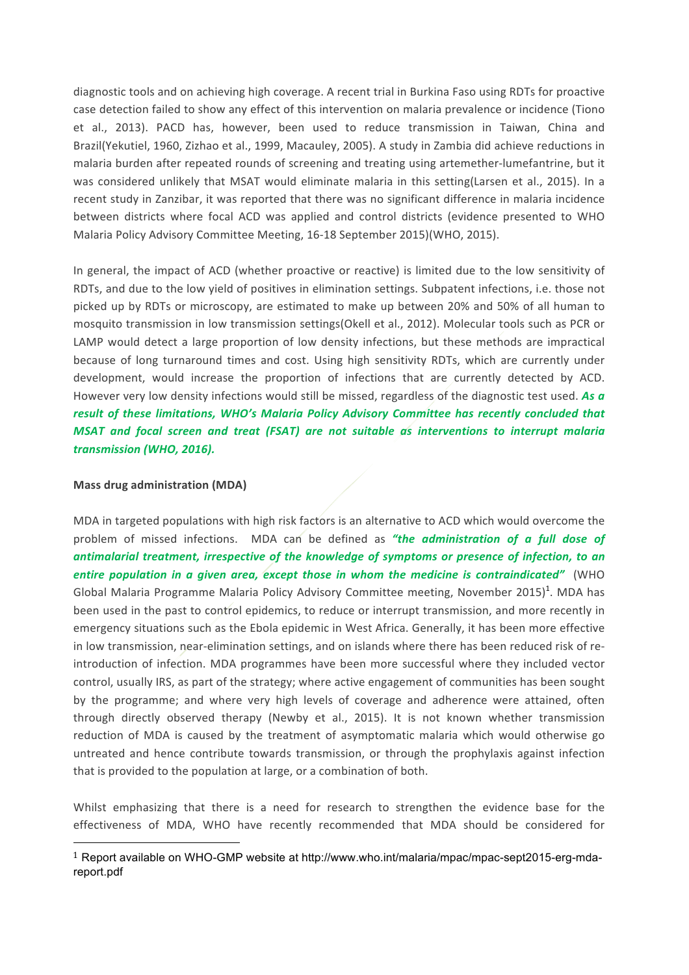diagnostic tools and on achieving high coverage. A recent trial in Burkina Faso using RDTs for proactive case detection failed to show any effect of this intervention on malaria prevalence or incidence (Tiono et al., 2013). PACD has, however, been used to reduce transmission in Taiwan, China and Brazil(Yekutiel, 1960, Zizhao et al., 1999, Macauley, 2005). A study in Zambia did achieve reductions in malaria burden after repeated rounds of screening and treating using artemether-lumefantrine, but it was considered unlikely that MSAT would eliminate malaria in this setting(Larsen et al., 2015). In a recent study in Zanzibar, it was reported that there was no significant difference in malaria incidence between districts where focal ACD was applied and control districts (evidence presented to WHO Malaria Policy Advisory Committee Meeting, 16-18 September 2015)(WHO, 2015).

In general, the impact of ACD (whether proactive or reactive) is limited due to the low sensitivity of RDTs, and due to the low yield of positives in elimination settings. Subpatent infections, i.e. those not picked up by RDTs or microscopy, are estimated to make up between 20% and 50% of all human to mosquito transmission in low transmission settings(Okell et al., 2012). Molecular tools such as PCR or LAMP would detect a large proportion of low density infections, but these methods are impractical because of long turnaround times and cost. Using high sensitivity RDTs, which are currently under development, would increase the proportion of infections that are currently detected by ACD. However very low density infections would still be missed, regardless of the diagnostic test used. As a result of these limitations, WHO's Malaria Policy Advisory Committee has recently concluded that *MSAT* and *focal screen and treat (FSAT)* are not suitable as interventions to interrupt malaria *transmission (WHO, 2016).*

#### **Mass drug administration (MDA)**

 

MDA in targeted populations with high risk factors is an alternative to ACD which would overcome the problem of missed infections. MDA can be defined as "the administration of a full dose of antimalarial treatment, irrespective of the knowledge of symptoms or presence of infection, to an *entire population in a given area, except those in whom the medicine is contraindicated"* (WHO Global Malaria Programme Malaria Policy Advisory Committee meeting, November 2015)<sup>1</sup>. MDA has been used in the past to control epidemics, to reduce or interrupt transmission, and more recently in emergency situations such as the Ebola epidemic in West Africa. Generally, it has been more effective in low transmission, near-elimination settings, and on islands where there has been reduced risk of reintroduction of infection. MDA programmes have been more successful where they included vector control, usually IRS, as part of the strategy; where active engagement of communities has been sought by the programme; and where very high levels of coverage and adherence were attained, often through directly observed therapy (Newby et al., 2015). It is not known whether transmission reduction of MDA is caused by the treatment of asymptomatic malaria which would otherwise go untreated and hence contribute towards transmission, or through the prophylaxis against infection that is provided to the population at large, or a combination of both.

Whilst emphasizing that there is a need for research to strengthen the evidence base for the effectiveness of MDA, WHO have recently recommended that MDA should be considered for

<sup>1</sup> Report available on WHO-GMP website at http://www.who.int/malaria/mpac/mpac-sept2015-erg-mdareport.pdf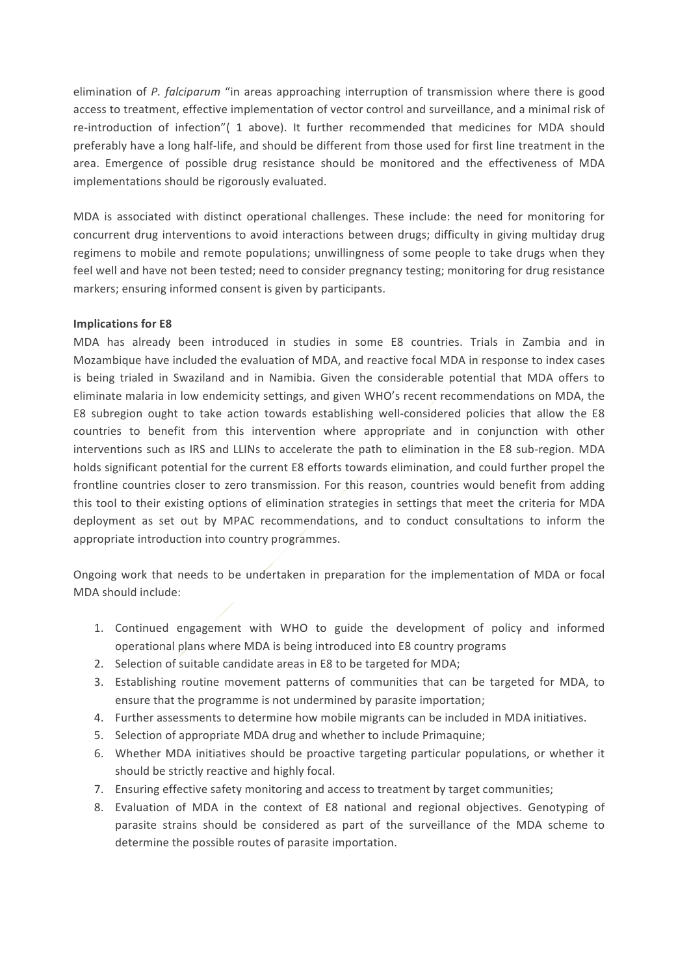elimination of *P. falciparum* "in areas approaching interruption of transmission where there is good access to treatment, effective implementation of vector control and surveillance, and a minimal risk of re-introduction of infection"( 1 above). It further recommended that medicines for MDA should preferably have a long half-life, and should be different from those used for first line treatment in the area. Emergence of possible drug resistance should be monitored and the effectiveness of MDA implementations should be rigorously evaluated.

MDA is associated with distinct operational challenges. These include: the need for monitoring for concurrent drug interventions to avoid interactions between drugs; difficulty in giving multiday drug regimens to mobile and remote populations; unwillingness of some people to take drugs when they feel well and have not been tested; need to consider pregnancy testing; monitoring for drug resistance markers; ensuring informed consent is given by participants.

### **Implications for E8**

MDA has already been introduced in studies in some E8 countries. Trials in Zambia and in Mozambique have included the evaluation of MDA, and reactive focal MDA in response to index cases is being trialed in Swaziland and in Namibia. Given the considerable potential that MDA offers to eliminate malaria in low endemicity settings, and given WHO's recent recommendations on MDA, the E8 subregion ought to take action towards establishing well-considered policies that allow the E8 countries to benefit from this intervention where appropriate and in conjunction with other interventions such as IRS and LLINs to accelerate the path to elimination in the E8 sub-region. MDA holds significant potential for the current E8 efforts towards elimination, and could further propel the frontline countries closer to zero transmission. For this reason, countries would benefit from adding this tool to their existing options of elimination strategies in settings that meet the criteria for MDA deployment as set out by MPAC recommendations, and to conduct consultations to inform the appropriate introduction into country programmes.

Ongoing work that needs to be undertaken in preparation for the implementation of MDA or focal MDA should include:

- 1. Continued engagement with WHO to guide the development of policy and informed operational plans where MDA is being introduced into E8 country programs
- 2. Selection of suitable candidate areas in E8 to be targeted for MDA;
- 3. Establishing routine movement patterns of communities that can be targeted for MDA, to ensure that the programme is not undermined by parasite importation;
- 4. Further assessments to determine how mobile migrants can be included in MDA initiatives.
- 5. Selection of appropriate MDA drug and whether to include Primaquine;
- 6. Whether MDA initiatives should be proactive targeting particular populations, or whether it should be strictly reactive and highly focal.
- 7. Ensuring effective safety monitoring and access to treatment by target communities;
- 8. Evaluation of MDA in the context of E8 national and regional objectives. Genotyping of parasite strains should be considered as part of the surveillance of the MDA scheme to determine the possible routes of parasite importation.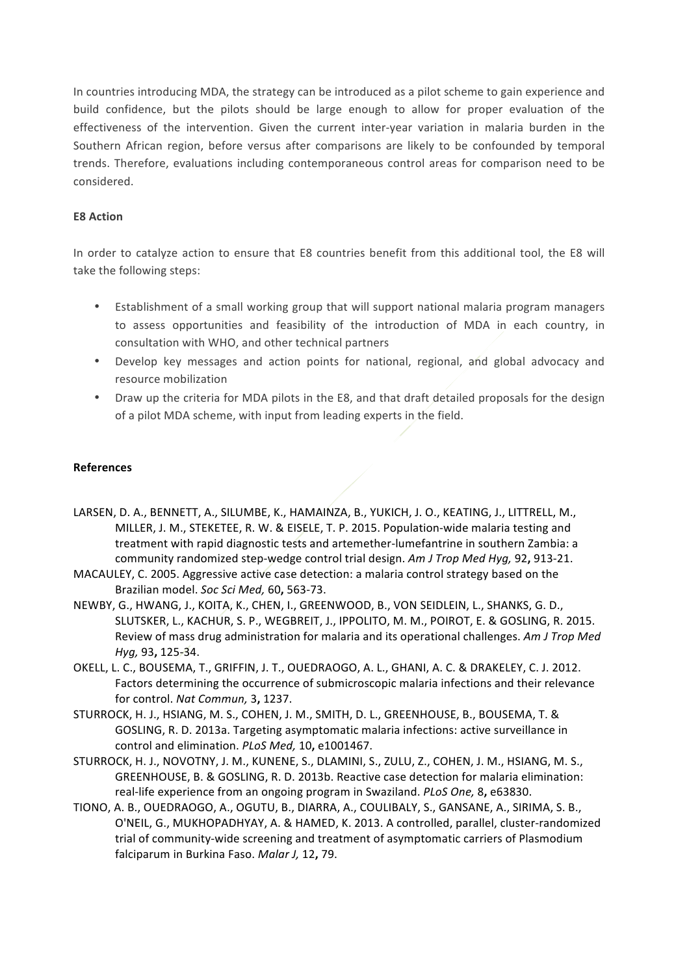In countries introducing MDA, the strategy can be introduced as a pilot scheme to gain experience and build confidence, but the pilots should be large enough to allow for proper evaluation of the effectiveness of the intervention. Given the current inter-year variation in malaria burden in the Southern African region, before versus after comparisons are likely to be confounded by temporal trends. Therefore, evaluations including contemporaneous control areas for comparison need to be considered.

# **E8 Action**

In order to catalyze action to ensure that E8 countries benefit from this additional tool, the E8 will take the following steps:

- Establishment of a small working group that will support national malaria program managers to assess opportunities and feasibility of the introduction of MDA in each country, in consultation with WHO, and other technical partners
- Develop key messages and action points for national, regional, and global advocacy and resource mobilization
- Draw up the criteria for MDA pilots in the E8, and that draft detailed proposals for the design of a pilot MDA scheme, with input from leading experts in the field.

## **References**

- LARSEN, D. A., BENNETT, A., SILUMBE, K., HAMAINZA, B., YUKICH, J. O., KEATING, J., LITTRELL, M., MILLER, J. M., STEKETEE, R. W. & EISELE, T. P. 2015. Population-wide malaria testing and treatment with rapid diagnostic tests and artemether-lumefantrine in southern Zambia: a community randomized step-wedge control trial design. Am J Trop Med Hyq, 92, 913-21.
- MACAULEY, C. 2005. Aggressive active case detection: a malaria control strategy based on the Brazilian model. *Soc Sci Med,* 60**,** 563-73.
- NEWBY, G., HWANG, J., KOITA, K., CHEN, I., GREENWOOD, B., VON SEIDLEIN, L., SHANKS, G. D., SLUTSKER, L., KACHUR, S. P., WEGBREIT, J., IPPOLITO, M. M., POIROT, E. & GOSLING, R. 2015. Review of mass drug administration for malaria and its operational challenges. Am J Trop Med *Hyg,* 93**,** 125-34.
- OKELL, L. C., BOUSEMA, T., GRIFFIN, J. T., OUEDRAOGO, A. L., GHANI, A. C. & DRAKELEY, C. J. 2012. Factors determining the occurrence of submicroscopic malaria infections and their relevance for control. *Nat Commun,* 3**,** 1237.
- STURROCK, H. J., HSIANG, M. S., COHEN, J. M., SMITH, D. L., GREENHOUSE, B., BOUSEMA, T. & GOSLING, R. D. 2013a. Targeting asymptomatic malaria infections: active surveillance in control and elimination. *PLoS Med,* 10**,** e1001467.
- STURROCK, H. J., NOVOTNY, J. M., KUNENE, S., DLAMINI, S., ZULU, Z., COHEN, J. M., HSIANG, M. S., GREENHOUSE, B. & GOSLING, R. D. 2013b. Reactive case detection for malaria elimination: real-life experience from an ongoing program in Swaziland. *PLoS One*, 8, e63830.
- TIONO, A. B., OUEDRAOGO, A., OGUTU, B., DIARRA, A., COULIBALY, S., GANSANE, A., SIRIMA, S. B., O'NEIL, G., MUKHOPADHYAY, A. & HAMED, K. 2013. A controlled, parallel, cluster-randomized trial of community-wide screening and treatment of asymptomatic carriers of Plasmodium falciparum in Burkina Faso. Malar J, 12, 79.